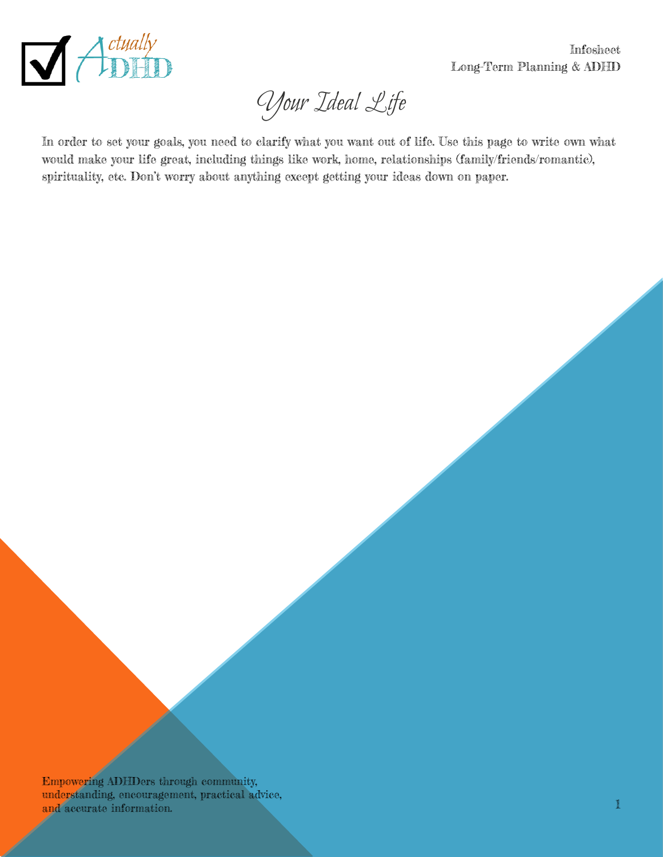

Infosheet Long-Term Planning & ADHD

Your Ideal Life

In order to set your goals, you need to clarify what you want out of life. Use this page to write own what would make your life great, including things like work, home, relationships (family/friends/romantic), spirituality, etc. Don't worry about anything except getting your ideas down on paper.

Empowering ADHDers through community, understanding, encouragement, practical advice, and accurate information. Practical accuracy contracts of the contract of the contract of the contract of the contract of the contract of the contract of the contract of the contract of the contract of the contract of the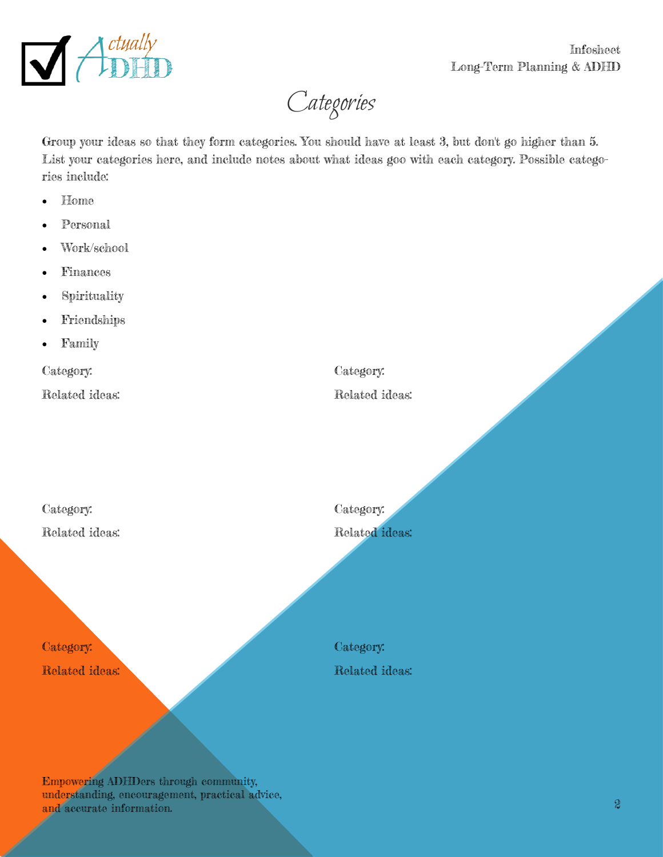

Categories

Group your ideas so that they form categories. You should have at least 3, but don't go higher than 5. List your categories here, and include notes about what ideas goo with each category. Possible categories include:

- Home
- Personal
- Work/school
- Finances
- Spirituality
- Friendships
- Family

Category:

Related ideas:

Category:

Related ideas:

Category: Related ideas:

Category: Related ideas: Category:

Category:

Related ideas:

Related ideas:

Empowering ADHDers through community, understanding, encouragement, practical advice, and accurate information. 2